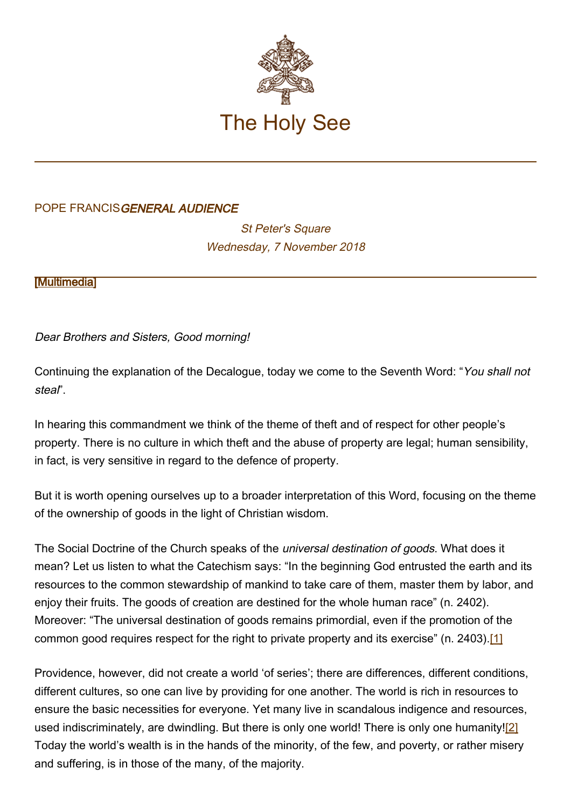

## POPE FRANCISGENERAL AUDIENCE

**St Peter's Square** Wednesday, 7 November 2018

[\[Multimedia](http://w2.vatican.va/content/francesco/en/events/event.dir.html/content/vaticanevents/en/2018/11/7/udienzagenerale.html)]

Dear Brothers and Sisters, Good morning!

Continuing the explanation of the Decalogue, today we come to the Seventh Word: "You shall not steal".

In hearing this commandment we think of the theme of theft and of respect for other people's property. There is no culture in which theft and the abuse of property are legal; human sensibility, in fact, is very sensitive in regard to the defence of property.

But it is worth opening ourselves up to a broader interpretation of this Word, focusing on the theme of the ownership of goods in the light of Christian wisdom.

The Social Doctrine of the Church speaks of the *universal destination of goods*. What does it mean? Let us listen to what the Catechism says: "In the beginning God entrusted the earth and its resources to the common stewardship of mankind to take care of them, master them by labor, and enjoy their fruits. The goods of creation are destined for the whole human race" (n. 2402). Moreover: "The universal destination of goods remains primordial, even if the promotion of the common good requires respect for the right to private property and its exercise" (n. 2403).[1]

Providence, however, did not create a world 'of series'; there are differences, different conditions, different cultures, so one can live by providing for one another. The world is rich in resources to ensure the basic necessities for everyone. Yet many live in scandalous indigence and resources, used indiscriminately, are dwindling. But there is only one world! There is only one humanity![2] Today the world's wealth is in the hands of the minority, of the few, and poverty, or rather misery and suffering, is in those of the many, of the majority.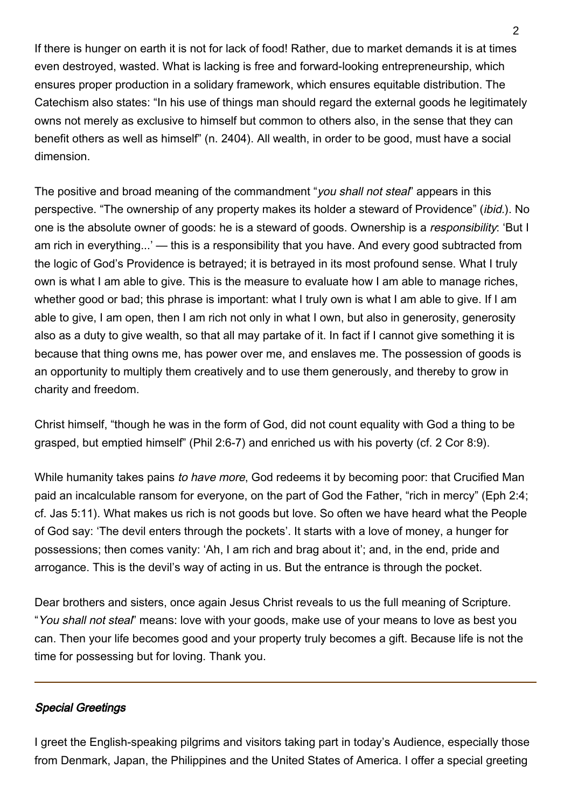If there is hunger on earth it is not for lack of food! Rather, due to market demands it is at times even destroyed, wasted. What is lacking is free and forward-looking entrepreneurship, which ensures proper production in a solidary framework, which ensures equitable distribution. The Catechism also states: "In his use of things man should regard the external goods he legitimately owns not merely as exclusive to himself but common to others also, in the sense that they can benefit others as well as himself" (n. 2404). All wealth, in order to be good, must have a social dimension.

The positive and broad meaning of the commandment "you shall not steal" appears in this perspective. "The ownership of any property makes its holder a steward of Providence" (ibid.). No one is the absolute owner of goods: he is a steward of goods. Ownership is a responsibility: 'But I am rich in everything...' — this is a responsibility that you have. And every good subtracted from the logic of God's Providence is betrayed; it is betrayed in its most profound sense. What I truly own is what I am able to give. This is the measure to evaluate how I am able to manage riches, whether good or bad; this phrase is important; what I truly own is what I am able to give. If I am able to give, I am open, then I am rich not only in what I own, but also in generosity, generosity also as a duty to give wealth, so that all may partake of it. In fact if I cannot give something it is because that thing owns me, has power over me, and enslaves me. The possession of goods is an opportunity to multiply them creatively and to use them generously, and thereby to grow in charity and freedom.

Christ himself, "though he was in the form of God, did not count equality with God a thing to be grasped, but emptied himself" (Phil 2:6-7) and enriched us with his poverty (cf. 2 Cor 8:9).

While humanity takes pains to have more, God redeems it by becoming poor: that Crucified Man paid an incalculable ransom for everyone, on the part of God the Father, "rich in mercy" (Eph 2:4; cf. Jas 5:11). What makes us rich is not goods but love. So often we have heard what the People of God say: 'The devil enters through the pockets'. It starts with a love of money, a hunger for possessions; then comes vanity: 'Ah, I am rich and brag about it'; and, in the end, pride and arrogance. This is the devil's way of acting in us. But the entrance is through the pocket.

Dear brothers and sisters, once again Jesus Christ reveals to us the full meaning of Scripture. "You shall not steal" means: love with your goods, make use of your means to love as best you can. Then your life becomes good and your property truly becomes a gift. Because life is not the time for possessing but for loving. Thank you.

## Special Greetings

I greet the English-speaking pilgrims and visitors taking part in today's Audience, especially those from Denmark, Japan, the Philippines and the United States of America. I offer a special greeting